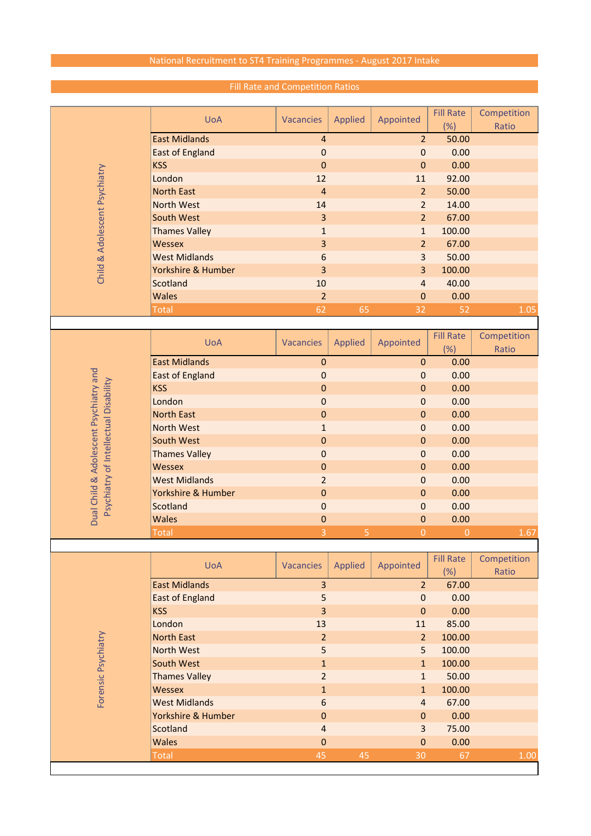## National Recruitment to ST4 Training Programmes - August 2017 Intake

| Child & Adolescent Psychiatry         | <b>UoA</b>             | Vacancies        | Applied        | Appointed        | <b>Fill Rate</b> | Competition |
|---------------------------------------|------------------------|------------------|----------------|------------------|------------------|-------------|
|                                       | <b>East Midlands</b>   | $\overline{4}$   |                | $\overline{2}$   | (%)<br>50.00     | Ratio       |
|                                       | <b>East of England</b> | $\mathbf 0$      |                | $\mathbf 0$      | 0.00             |             |
|                                       |                        |                  |                |                  |                  |             |
|                                       | <b>KSS</b>             | $\mathbf 0$      |                | $\mathbf 0$      | 0.00             |             |
|                                       | London                 | 12               |                | 11               | 92.00            |             |
|                                       | <b>North East</b>      | $\overline{4}$   |                | $\overline{2}$   | 50.00            |             |
|                                       | <b>North West</b>      | 14               |                | $\overline{2}$   | 14.00            |             |
|                                       | South West             | 3                |                | $\overline{2}$   | 67.00            |             |
|                                       | <b>Thames Valley</b>   | $\mathbf{1}$     |                | $\mathbf{1}$     | 100.00           |             |
|                                       | <b>Wessex</b>          | 3                |                | $\overline{2}$   | 67.00            |             |
|                                       | <b>West Midlands</b>   | 6                |                | 3                | 50.00            |             |
|                                       | Yorkshire & Humber     | 3                |                | 3                | 100.00           |             |
|                                       | <b>Scotland</b>        | 10               |                | $\overline{4}$   | 40.00            |             |
|                                       | <b>Wales</b>           | $\overline{2}$   |                | $\overline{0}$   | 0.00             |             |
|                                       | <b>Total</b>           | 62               | 65             | 32               | 52               | 1.05        |
|                                       |                        |                  |                |                  |                  |             |
|                                       | <b>UoA</b>             | Vacancies        | Applied        | Appointed        | <b>Fill Rate</b> | Competition |
|                                       |                        |                  |                |                  | (%)              | Ratio       |
|                                       | <b>East Midlands</b>   | $\mathbf 0$      |                | $\pmb{0}$        | 0.00             |             |
| Child & Adolescent Psychiatry and     | <b>East of England</b> | $\mathbf 0$      |                | 0                | 0.00             |             |
| Psychiatry of Intellectual Disability | <b>KSS</b>             | $\mathbf 0$      |                | $\pmb{0}$        | 0.00             |             |
|                                       | London                 | $\mathbf 0$      |                | $\mathbf 0$      | 0.00             |             |
|                                       | <b>North East</b>      | $\mathbf 0$      |                | $\boldsymbol{0}$ | 0.00             |             |
|                                       | <b>North West</b>      | $\mathbf{1}$     |                | $\pmb{0}$        | 0.00             |             |
|                                       | South West             | $\mathbf 0$      |                | $\boldsymbol{0}$ | 0.00             |             |
|                                       | <b>Thames Valley</b>   | $\mathbf 0$      |                | $\pmb{0}$        | 0.00             |             |
|                                       | <b>Wessex</b>          | $\mathbf 0$      |                | $\pmb{0}$        | 0.00             |             |
|                                       | <b>West Midlands</b>   | $\overline{2}$   |                | $\mathbf{0}$     | 0.00             |             |
|                                       | Yorkshire & Humber     | $\boldsymbol{0}$ |                | 0                | 0.00             |             |
|                                       | Scotland               | $\mathbf 0$      |                | 0                | 0.00             |             |
| Dual                                  | <b>Wales</b>           | $\pmb{0}$        |                | $\pmb{0}$        | 0.00             |             |
|                                       | <b>Total</b>           | 3                | $\overline{5}$ | $\overline{0}$   | $\overline{0}$   | 1.67        |
|                                       |                        |                  |                |                  |                  |             |
|                                       |                        |                  |                |                  | <b>Fill Rate</b> | Competition |
|                                       | <b>UoA</b>             | Vacancies        | Applied        | Appointed        | (%)              | Ratio       |
|                                       | <b>East Midlands</b>   | $\overline{3}$   |                | 2 <sup>2</sup>   | 67.00            |             |
|                                       | <b>East of England</b> | 5                |                | $\boldsymbol{0}$ | 0.00             |             |
|                                       | <b>KSS</b>             | 3                |                | $\mathbf{0}$     | 0.00             |             |
| Forensic Psychiatry                   |                        |                  |                |                  |                  |             |
|                                       | London                 | 13               |                | 11               | 85.00            |             |
|                                       | <b>North East</b>      | $\overline{2}$   |                | 2 <sup>2</sup>   | 100.00           |             |
|                                       | <b>North West</b>      | 5                |                | 5                | 100.00           |             |
|                                       | South West             | $\mathbf{1}$     |                | $\mathbf{1}$     | 100.00           |             |
|                                       | <b>Thames Valley</b>   | $\overline{2}$   |                | $\mathbf{1}$     | 50.00            |             |
|                                       | <b>Wessex</b>          | $\mathbf{1}$     |                | $\mathbf{1}$     | 100.00           |             |
|                                       | <b>West Midlands</b>   | 6                |                | $\overline{4}$   | 67.00            |             |
|                                       | Yorkshire & Humber     | 0                |                | $\mathbf{0}$     | 0.00             |             |
|                                       | Scotland               | 4                |                | $\overline{3}$   | 75.00            |             |
|                                       | <b>Wales</b>           | $\mathbf 0$      |                | $\pmb{0}$        | 0.00             |             |

Total 45 45 30 67 1.00

## Fill Rate and Competition Ratios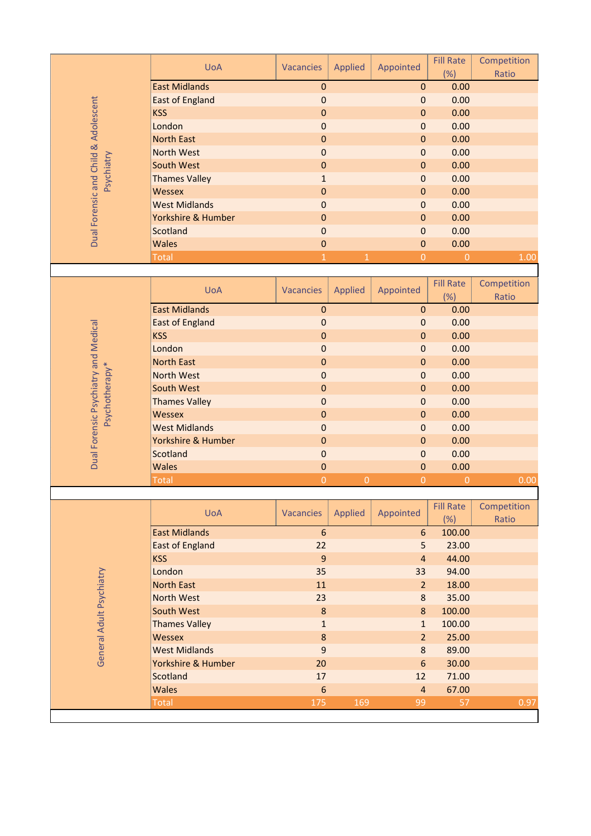|                                      | <b>UoA</b>                            | <b>Vacancies</b> | <b>Applied</b> | Appointed        | <b>Fill Rate</b><br>(%) | Competition<br>Ratio |
|--------------------------------------|---------------------------------------|------------------|----------------|------------------|-------------------------|----------------------|
|                                      | <b>East Midlands</b>                  | $\mathbf 0$      |                | $\boldsymbol{0}$ | 0.00                    |                      |
| Dual Forensic and Child & Adolescent | <b>East of England</b>                | $\mathbf 0$      |                | $\mathbf 0$      | 0.00                    |                      |
|                                      | <b>KSS</b>                            | $\mathbf 0$      |                | $\mathbf{0}$     | 0.00                    |                      |
|                                      | London                                | $\mathbf 0$      |                | 0                | 0.00                    |                      |
|                                      | <b>North East</b>                     | $\bf 0$          |                | $\boldsymbol{0}$ | 0.00                    |                      |
|                                      | <b>North West</b>                     | $\mathbf 0$      |                | $\mathbf 0$      | 0.00                    |                      |
| Psychiatry                           | South West                            | $\bf 0$          |                | $\boldsymbol{0}$ | 0.00                    |                      |
|                                      | <b>Thames Valley</b>                  | $\mathbf{1}$     |                | $\mathbf{0}$     | 0.00                    |                      |
|                                      | <b>Wessex</b>                         | $\bf 0$          |                | $\mathbf{0}$     | 0.00                    |                      |
|                                      | <b>West Midlands</b>                  | $\mathbf 0$      |                | $\mathbf 0$      | 0.00                    |                      |
|                                      | Yorkshire & Humber                    | $\mathbf 0$      |                | $\boldsymbol{0}$ | 0.00                    |                      |
|                                      | Scotland                              | $\mathbf 0$      |                | $\boldsymbol{0}$ | 0.00                    |                      |
|                                      | <b>Wales</b>                          | $\mathbf{0}$     |                | $\mathbf{0}$     | 0.00                    |                      |
|                                      | <b>Total</b>                          | $\mathbf{1}$     | $\mathbf{1}$   | $\overline{0}$   | $\overline{0}$          | 1.00                 |
|                                      |                                       |                  |                |                  |                         |                      |
|                                      |                                       |                  |                |                  | <b>Fill Rate</b>        | Competition          |
|                                      | <b>UoA</b>                            | <b>Vacancies</b> | <b>Applied</b> | Appointed        | (% )                    | Ratio                |
|                                      | <b>East Midlands</b>                  | $\mathbf 0$      |                | $\mathbf 0$      | 0.00                    |                      |
|                                      | <b>East of England</b>                | $\mathbf 0$      |                | $\mathbf 0$      | 0.00                    |                      |
|                                      | <b>KSS</b>                            | $\bf 0$          |                | $\boldsymbol{0}$ | 0.00                    |                      |
|                                      | London                                | $\mathbf 0$      |                | $\boldsymbol{0}$ | 0.00                    |                      |
|                                      | <b>North East</b>                     | $\mathbf 0$      |                | $\mathbf 0$      | 0.00                    |                      |
|                                      | <b>North West</b>                     | $\mathbf 0$      |                | $\mathbf{0}$     | 0.00                    |                      |
|                                      | South West                            | $\boldsymbol{0}$ |                | $\mathbf{0}$     | 0.00                    |                      |
| Psychotherapy*                       |                                       |                  |                |                  |                         |                      |
|                                      | <b>Thames Valley</b>                  | $\mathbf 0$      |                | $\boldsymbol{0}$ | 0.00                    |                      |
|                                      | <b>Wessex</b><br><b>West Midlands</b> | $\boldsymbol{0}$ |                | $\boldsymbol{0}$ | 0.00                    |                      |
|                                      |                                       | $\mathbf 0$      |                | $\mathbf 0$      | 0.00                    |                      |
|                                      | Yorkshire & Humber                    | $\boldsymbol{0}$ |                | $\mathbf{0}$     | 0.00                    |                      |
| Dual Forensic Psychiatry and Medical | Scotland                              | $\mathbf 0$      |                | $\mathbf 0$      | 0.00                    |                      |
|                                      | <b>Wales</b>                          | $\pmb{0}$        |                | $\mathbf 0$      | 0.00                    |                      |
|                                      | Total                                 | $\overline{0}$   | $\overline{0}$ | $\overline{0}$   | $\overline{0}$          | 0.00                 |
|                                      |                                       |                  |                |                  |                         |                      |
|                                      | <b>UoA</b>                            | <b>Vacancies</b> | <b>Applied</b> | Appointed        | <b>Fill Rate</b>        | Competition          |
|                                      |                                       |                  |                |                  | (%)                     | Ratio                |
|                                      | <b>East Midlands</b>                  | $6\phantom{1}$   |                | 6                | 100.00                  |                      |
| General Adult Psychiatry             | <b>East of England</b>                | 22               |                | 5                | 23.00                   |                      |
|                                      | <b>KSS</b>                            | 9                |                | $\overline{4}$   | 44.00                   |                      |
|                                      | London                                | 35               |                | 33               | 94.00                   |                      |
|                                      | <b>North East</b>                     | 11               |                | 2 <sup>2</sup>   | 18.00                   |                      |
|                                      | <b>North West</b>                     | 23               |                | $\bf 8$          | 35.00                   |                      |
|                                      | South West                            | $\bf 8$          |                | 8                | 100.00                  |                      |
|                                      | <b>Thames Valley</b>                  | $\mathbf 1$      |                | $\mathbf{1}$     | 100.00                  |                      |
|                                      | Wessex                                | $\bf 8$          |                | $\overline{2}$   | 25.00                   |                      |
|                                      | <b>West Midlands</b>                  | $\overline{9}$   |                | 8                | 89.00                   |                      |
|                                      | Yorkshire & Humber                    | 20               |                | $6\phantom{1}$   | 30.00                   |                      |
|                                      | <b>Scotland</b>                       | 17               |                | 12               | 71.00                   |                      |
|                                      | <b>Wales</b>                          | $6\phantom{1}6$  |                | $\overline{4}$   | 67.00                   |                      |
|                                      | <b>Total</b>                          | 175              | 169            | 99               | 57                      | 0.97                 |
|                                      |                                       |                  |                |                  |                         |                      |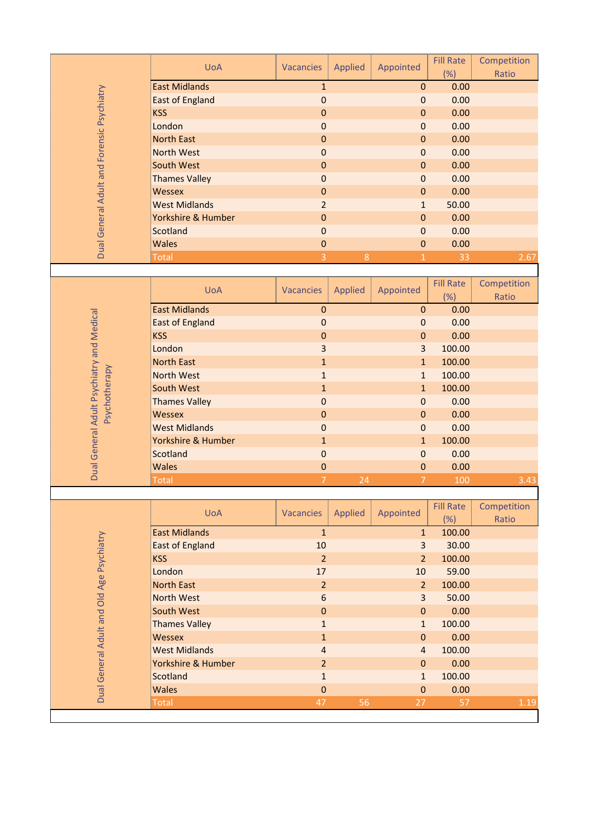| (%)<br>Ratio<br><b>East Midlands</b><br>0.00<br>$\mathbf{1}$<br>$\boldsymbol{0}$<br>Dual General Adult and Forensic Psychiatry<br>$\mathbf 0$<br>0.00<br><b>East of England</b><br>$\mathbf 0$<br><b>KSS</b><br>0.00<br>$\mathbf 0$<br>$\mathbf{0}$<br>London<br>$\mathbf 0$<br>0.00<br>$\mathbf 0$<br><b>North East</b><br>0.00<br>$\mathbf 0$<br>$\boldsymbol{0}$<br><b>North West</b><br>$\mathbf 0$<br>0.00<br>$\mathbf 0$<br>South West<br>$\mathbf 0$<br>0.00<br>$\mathbf 0$<br><b>Thames Valley</b><br>0.00<br>$\mathbf 0$<br>$\mathbf{0}$<br><b>Wessex</b><br>$\mathbf 0$<br>0.00<br>$\mathbf 0$<br>50.00<br><b>West Midlands</b><br>$\overline{2}$<br>$\mathbf{1}$<br>Yorkshire & Humber<br>$\mathbf 0$<br>0.00<br>$\boldsymbol{0}$<br>Scotland<br>0.00<br>$\mathbf 0$<br>$\boldsymbol{0}$<br><b>Wales</b><br>$\mathbf{0}$<br>0.00<br>$\mathbf 0$<br>$\overline{3}$<br>$\,8\,$<br>2.67<br>Total<br>33<br>$\mathbf{1}$<br><b>Fill Rate</b><br>Competition<br><b>UoA</b><br><b>Applied</b><br>Appointed<br><b>Vacancies</b><br>(%)<br>Ratio<br><b>East Midlands</b><br>$\mathbf 0$<br>0.00<br>$\mathbf 0$<br>General Adult Psychiatry and Medical<br><b>East of England</b><br>$\mathbf 0$<br>0.00<br>$\boldsymbol{0}$<br><b>KSS</b><br>$\bf 0$<br>0.00<br>$\boldsymbol{0}$<br>London<br>3<br>100.00<br>$\overline{3}$<br><b>North East</b><br>100.00<br>$\mathbf{1}$<br>$\mathbf{1}$<br>Psychotherapy<br><b>North West</b><br>100.00<br>$\mathbf{1}$<br>$\mathbf{1}$<br>100.00<br>South West<br>$\mathbf{1}$<br>$\mathbf{1}$<br><b>Thames Valley</b><br>$\mathbf 0$<br>0.00<br>$\boldsymbol{0}$<br><b>Wessex</b><br>0.00<br>$\boldsymbol{0}$<br>$\boldsymbol{0}$<br><b>West Midlands</b><br>$\mathbf 0$<br>0.00<br>$\mathbf 0$<br>Yorkshire & Humber<br>100.00<br>$\mathbf{1}$<br>$\mathbf{1}$<br>Scotland<br>0.00<br>$\mathbf 0$<br>$\boldsymbol{0}$<br>Dual<br><b>Wales</b><br>$\mathbf 0$<br>$\pmb{0}$<br>0.00<br><b>Total</b><br>$\overline{7}$<br>24<br>100<br>3.43<br>7<br><b>Fill Rate</b><br>Competition<br><b>UoA</b><br>Appointed<br><b>Vacancies</b><br><b>Applied</b><br>(%)<br>Ratio<br><b>East Midlands</b><br>$\mathbf{1}$<br>100.00<br>$\mathbf{1}$<br>Dual General Adult and Old Age Psychiatry<br>30.00<br><b>East of England</b><br>10<br>$\overline{3}$<br>$\overline{2}$<br><b>KSS</b><br>$\overline{2}$<br>100.00<br>London<br>59.00<br>17<br>10<br><b>North East</b><br>$\overline{2}$<br>100.00<br>$\overline{2}$<br><b>North West</b><br>50.00<br>6<br>$\overline{3}$<br>South West<br>$\mathbf 0$<br>0.00<br>$\mathbf{0}$<br>100.00<br><b>Thames Valley</b><br>$\mathbf{1}$<br>$\mathbf{1}$<br>0.00<br>Wessex<br>$\mathbf 1$<br>$\boldsymbol{0}$<br><b>West Midlands</b><br>100.00<br>$\overline{a}$<br>$\overline{4}$<br>Yorkshire & Humber<br>$\overline{2}$<br>0.00<br>$\boldsymbol{0}$<br><b>Scotland</b><br>100.00<br>$\mathbf 1$<br>$\mathbf{1}$<br><b>Wales</b><br>$\mathbf 0$<br>0.00<br>$\boldsymbol{0}$<br>47<br>56<br>1.19<br>27<br><b>Total</b><br>57 | <b>UoA</b> | <b>Vacancies</b> | <b>Applied</b> | Appointed | <b>Fill Rate</b> | Competition |
|-----------------------------------------------------------------------------------------------------------------------------------------------------------------------------------------------------------------------------------------------------------------------------------------------------------------------------------------------------------------------------------------------------------------------------------------------------------------------------------------------------------------------------------------------------------------------------------------------------------------------------------------------------------------------------------------------------------------------------------------------------------------------------------------------------------------------------------------------------------------------------------------------------------------------------------------------------------------------------------------------------------------------------------------------------------------------------------------------------------------------------------------------------------------------------------------------------------------------------------------------------------------------------------------------------------------------------------------------------------------------------------------------------------------------------------------------------------------------------------------------------------------------------------------------------------------------------------------------------------------------------------------------------------------------------------------------------------------------------------------------------------------------------------------------------------------------------------------------------------------------------------------------------------------------------------------------------------------------------------------------------------------------------------------------------------------------------------------------------------------------------------------------------------------------------------------------------------------------------------------------------------------------------------------------------------------------------------------------------------------------------------------------------------------------------------------------------------------------------------------------------------------------------------------------------------------------------------------------------------------------------------------------------------------------------------------------------------------------------------------------------------------------------------------------------------------------------------------------------------------------------------------------------------------------------------------------------------------------------------------------------|------------|------------------|----------------|-----------|------------------|-------------|
|                                                                                                                                                                                                                                                                                                                                                                                                                                                                                                                                                                                                                                                                                                                                                                                                                                                                                                                                                                                                                                                                                                                                                                                                                                                                                                                                                                                                                                                                                                                                                                                                                                                                                                                                                                                                                                                                                                                                                                                                                                                                                                                                                                                                                                                                                                                                                                                                                                                                                                                                                                                                                                                                                                                                                                                                                                                                                                                                                                                                     |            |                  |                |           |                  |             |
|                                                                                                                                                                                                                                                                                                                                                                                                                                                                                                                                                                                                                                                                                                                                                                                                                                                                                                                                                                                                                                                                                                                                                                                                                                                                                                                                                                                                                                                                                                                                                                                                                                                                                                                                                                                                                                                                                                                                                                                                                                                                                                                                                                                                                                                                                                                                                                                                                                                                                                                                                                                                                                                                                                                                                                                                                                                                                                                                                                                                     |            |                  |                |           |                  |             |
|                                                                                                                                                                                                                                                                                                                                                                                                                                                                                                                                                                                                                                                                                                                                                                                                                                                                                                                                                                                                                                                                                                                                                                                                                                                                                                                                                                                                                                                                                                                                                                                                                                                                                                                                                                                                                                                                                                                                                                                                                                                                                                                                                                                                                                                                                                                                                                                                                                                                                                                                                                                                                                                                                                                                                                                                                                                                                                                                                                                                     |            |                  |                |           |                  |             |
|                                                                                                                                                                                                                                                                                                                                                                                                                                                                                                                                                                                                                                                                                                                                                                                                                                                                                                                                                                                                                                                                                                                                                                                                                                                                                                                                                                                                                                                                                                                                                                                                                                                                                                                                                                                                                                                                                                                                                                                                                                                                                                                                                                                                                                                                                                                                                                                                                                                                                                                                                                                                                                                                                                                                                                                                                                                                                                                                                                                                     |            |                  |                |           |                  |             |
|                                                                                                                                                                                                                                                                                                                                                                                                                                                                                                                                                                                                                                                                                                                                                                                                                                                                                                                                                                                                                                                                                                                                                                                                                                                                                                                                                                                                                                                                                                                                                                                                                                                                                                                                                                                                                                                                                                                                                                                                                                                                                                                                                                                                                                                                                                                                                                                                                                                                                                                                                                                                                                                                                                                                                                                                                                                                                                                                                                                                     |            |                  |                |           |                  |             |
|                                                                                                                                                                                                                                                                                                                                                                                                                                                                                                                                                                                                                                                                                                                                                                                                                                                                                                                                                                                                                                                                                                                                                                                                                                                                                                                                                                                                                                                                                                                                                                                                                                                                                                                                                                                                                                                                                                                                                                                                                                                                                                                                                                                                                                                                                                                                                                                                                                                                                                                                                                                                                                                                                                                                                                                                                                                                                                                                                                                                     |            |                  |                |           |                  |             |
|                                                                                                                                                                                                                                                                                                                                                                                                                                                                                                                                                                                                                                                                                                                                                                                                                                                                                                                                                                                                                                                                                                                                                                                                                                                                                                                                                                                                                                                                                                                                                                                                                                                                                                                                                                                                                                                                                                                                                                                                                                                                                                                                                                                                                                                                                                                                                                                                                                                                                                                                                                                                                                                                                                                                                                                                                                                                                                                                                                                                     |            |                  |                |           |                  |             |
|                                                                                                                                                                                                                                                                                                                                                                                                                                                                                                                                                                                                                                                                                                                                                                                                                                                                                                                                                                                                                                                                                                                                                                                                                                                                                                                                                                                                                                                                                                                                                                                                                                                                                                                                                                                                                                                                                                                                                                                                                                                                                                                                                                                                                                                                                                                                                                                                                                                                                                                                                                                                                                                                                                                                                                                                                                                                                                                                                                                                     |            |                  |                |           |                  |             |
|                                                                                                                                                                                                                                                                                                                                                                                                                                                                                                                                                                                                                                                                                                                                                                                                                                                                                                                                                                                                                                                                                                                                                                                                                                                                                                                                                                                                                                                                                                                                                                                                                                                                                                                                                                                                                                                                                                                                                                                                                                                                                                                                                                                                                                                                                                                                                                                                                                                                                                                                                                                                                                                                                                                                                                                                                                                                                                                                                                                                     |            |                  |                |           |                  |             |
|                                                                                                                                                                                                                                                                                                                                                                                                                                                                                                                                                                                                                                                                                                                                                                                                                                                                                                                                                                                                                                                                                                                                                                                                                                                                                                                                                                                                                                                                                                                                                                                                                                                                                                                                                                                                                                                                                                                                                                                                                                                                                                                                                                                                                                                                                                                                                                                                                                                                                                                                                                                                                                                                                                                                                                                                                                                                                                                                                                                                     |            |                  |                |           |                  |             |
|                                                                                                                                                                                                                                                                                                                                                                                                                                                                                                                                                                                                                                                                                                                                                                                                                                                                                                                                                                                                                                                                                                                                                                                                                                                                                                                                                                                                                                                                                                                                                                                                                                                                                                                                                                                                                                                                                                                                                                                                                                                                                                                                                                                                                                                                                                                                                                                                                                                                                                                                                                                                                                                                                                                                                                                                                                                                                                                                                                                                     |            |                  |                |           |                  |             |
|                                                                                                                                                                                                                                                                                                                                                                                                                                                                                                                                                                                                                                                                                                                                                                                                                                                                                                                                                                                                                                                                                                                                                                                                                                                                                                                                                                                                                                                                                                                                                                                                                                                                                                                                                                                                                                                                                                                                                                                                                                                                                                                                                                                                                                                                                                                                                                                                                                                                                                                                                                                                                                                                                                                                                                                                                                                                                                                                                                                                     |            |                  |                |           |                  |             |
|                                                                                                                                                                                                                                                                                                                                                                                                                                                                                                                                                                                                                                                                                                                                                                                                                                                                                                                                                                                                                                                                                                                                                                                                                                                                                                                                                                                                                                                                                                                                                                                                                                                                                                                                                                                                                                                                                                                                                                                                                                                                                                                                                                                                                                                                                                                                                                                                                                                                                                                                                                                                                                                                                                                                                                                                                                                                                                                                                                                                     |            |                  |                |           |                  |             |
|                                                                                                                                                                                                                                                                                                                                                                                                                                                                                                                                                                                                                                                                                                                                                                                                                                                                                                                                                                                                                                                                                                                                                                                                                                                                                                                                                                                                                                                                                                                                                                                                                                                                                                                                                                                                                                                                                                                                                                                                                                                                                                                                                                                                                                                                                                                                                                                                                                                                                                                                                                                                                                                                                                                                                                                                                                                                                                                                                                                                     |            |                  |                |           |                  |             |
|                                                                                                                                                                                                                                                                                                                                                                                                                                                                                                                                                                                                                                                                                                                                                                                                                                                                                                                                                                                                                                                                                                                                                                                                                                                                                                                                                                                                                                                                                                                                                                                                                                                                                                                                                                                                                                                                                                                                                                                                                                                                                                                                                                                                                                                                                                                                                                                                                                                                                                                                                                                                                                                                                                                                                                                                                                                                                                                                                                                                     |            |                  |                |           |                  |             |
|                                                                                                                                                                                                                                                                                                                                                                                                                                                                                                                                                                                                                                                                                                                                                                                                                                                                                                                                                                                                                                                                                                                                                                                                                                                                                                                                                                                                                                                                                                                                                                                                                                                                                                                                                                                                                                                                                                                                                                                                                                                                                                                                                                                                                                                                                                                                                                                                                                                                                                                                                                                                                                                                                                                                                                                                                                                                                                                                                                                                     |            |                  |                |           |                  |             |
|                                                                                                                                                                                                                                                                                                                                                                                                                                                                                                                                                                                                                                                                                                                                                                                                                                                                                                                                                                                                                                                                                                                                                                                                                                                                                                                                                                                                                                                                                                                                                                                                                                                                                                                                                                                                                                                                                                                                                                                                                                                                                                                                                                                                                                                                                                                                                                                                                                                                                                                                                                                                                                                                                                                                                                                                                                                                                                                                                                                                     |            |                  |                |           |                  |             |
|                                                                                                                                                                                                                                                                                                                                                                                                                                                                                                                                                                                                                                                                                                                                                                                                                                                                                                                                                                                                                                                                                                                                                                                                                                                                                                                                                                                                                                                                                                                                                                                                                                                                                                                                                                                                                                                                                                                                                                                                                                                                                                                                                                                                                                                                                                                                                                                                                                                                                                                                                                                                                                                                                                                                                                                                                                                                                                                                                                                                     |            |                  |                |           |                  |             |
|                                                                                                                                                                                                                                                                                                                                                                                                                                                                                                                                                                                                                                                                                                                                                                                                                                                                                                                                                                                                                                                                                                                                                                                                                                                                                                                                                                                                                                                                                                                                                                                                                                                                                                                                                                                                                                                                                                                                                                                                                                                                                                                                                                                                                                                                                                                                                                                                                                                                                                                                                                                                                                                                                                                                                                                                                                                                                                                                                                                                     |            |                  |                |           |                  |             |
|                                                                                                                                                                                                                                                                                                                                                                                                                                                                                                                                                                                                                                                                                                                                                                                                                                                                                                                                                                                                                                                                                                                                                                                                                                                                                                                                                                                                                                                                                                                                                                                                                                                                                                                                                                                                                                                                                                                                                                                                                                                                                                                                                                                                                                                                                                                                                                                                                                                                                                                                                                                                                                                                                                                                                                                                                                                                                                                                                                                                     |            |                  |                |           |                  |             |
|                                                                                                                                                                                                                                                                                                                                                                                                                                                                                                                                                                                                                                                                                                                                                                                                                                                                                                                                                                                                                                                                                                                                                                                                                                                                                                                                                                                                                                                                                                                                                                                                                                                                                                                                                                                                                                                                                                                                                                                                                                                                                                                                                                                                                                                                                                                                                                                                                                                                                                                                                                                                                                                                                                                                                                                                                                                                                                                                                                                                     |            |                  |                |           |                  |             |
|                                                                                                                                                                                                                                                                                                                                                                                                                                                                                                                                                                                                                                                                                                                                                                                                                                                                                                                                                                                                                                                                                                                                                                                                                                                                                                                                                                                                                                                                                                                                                                                                                                                                                                                                                                                                                                                                                                                                                                                                                                                                                                                                                                                                                                                                                                                                                                                                                                                                                                                                                                                                                                                                                                                                                                                                                                                                                                                                                                                                     |            |                  |                |           |                  |             |
|                                                                                                                                                                                                                                                                                                                                                                                                                                                                                                                                                                                                                                                                                                                                                                                                                                                                                                                                                                                                                                                                                                                                                                                                                                                                                                                                                                                                                                                                                                                                                                                                                                                                                                                                                                                                                                                                                                                                                                                                                                                                                                                                                                                                                                                                                                                                                                                                                                                                                                                                                                                                                                                                                                                                                                                                                                                                                                                                                                                                     |            |                  |                |           |                  |             |
|                                                                                                                                                                                                                                                                                                                                                                                                                                                                                                                                                                                                                                                                                                                                                                                                                                                                                                                                                                                                                                                                                                                                                                                                                                                                                                                                                                                                                                                                                                                                                                                                                                                                                                                                                                                                                                                                                                                                                                                                                                                                                                                                                                                                                                                                                                                                                                                                                                                                                                                                                                                                                                                                                                                                                                                                                                                                                                                                                                                                     |            |                  |                |           |                  |             |
|                                                                                                                                                                                                                                                                                                                                                                                                                                                                                                                                                                                                                                                                                                                                                                                                                                                                                                                                                                                                                                                                                                                                                                                                                                                                                                                                                                                                                                                                                                                                                                                                                                                                                                                                                                                                                                                                                                                                                                                                                                                                                                                                                                                                                                                                                                                                                                                                                                                                                                                                                                                                                                                                                                                                                                                                                                                                                                                                                                                                     |            |                  |                |           |                  |             |
|                                                                                                                                                                                                                                                                                                                                                                                                                                                                                                                                                                                                                                                                                                                                                                                                                                                                                                                                                                                                                                                                                                                                                                                                                                                                                                                                                                                                                                                                                                                                                                                                                                                                                                                                                                                                                                                                                                                                                                                                                                                                                                                                                                                                                                                                                                                                                                                                                                                                                                                                                                                                                                                                                                                                                                                                                                                                                                                                                                                                     |            |                  |                |           |                  |             |
|                                                                                                                                                                                                                                                                                                                                                                                                                                                                                                                                                                                                                                                                                                                                                                                                                                                                                                                                                                                                                                                                                                                                                                                                                                                                                                                                                                                                                                                                                                                                                                                                                                                                                                                                                                                                                                                                                                                                                                                                                                                                                                                                                                                                                                                                                                                                                                                                                                                                                                                                                                                                                                                                                                                                                                                                                                                                                                                                                                                                     |            |                  |                |           |                  |             |
|                                                                                                                                                                                                                                                                                                                                                                                                                                                                                                                                                                                                                                                                                                                                                                                                                                                                                                                                                                                                                                                                                                                                                                                                                                                                                                                                                                                                                                                                                                                                                                                                                                                                                                                                                                                                                                                                                                                                                                                                                                                                                                                                                                                                                                                                                                                                                                                                                                                                                                                                                                                                                                                                                                                                                                                                                                                                                                                                                                                                     |            |                  |                |           |                  |             |
|                                                                                                                                                                                                                                                                                                                                                                                                                                                                                                                                                                                                                                                                                                                                                                                                                                                                                                                                                                                                                                                                                                                                                                                                                                                                                                                                                                                                                                                                                                                                                                                                                                                                                                                                                                                                                                                                                                                                                                                                                                                                                                                                                                                                                                                                                                                                                                                                                                                                                                                                                                                                                                                                                                                                                                                                                                                                                                                                                                                                     |            |                  |                |           |                  |             |
|                                                                                                                                                                                                                                                                                                                                                                                                                                                                                                                                                                                                                                                                                                                                                                                                                                                                                                                                                                                                                                                                                                                                                                                                                                                                                                                                                                                                                                                                                                                                                                                                                                                                                                                                                                                                                                                                                                                                                                                                                                                                                                                                                                                                                                                                                                                                                                                                                                                                                                                                                                                                                                                                                                                                                                                                                                                                                                                                                                                                     |            |                  |                |           |                  |             |
|                                                                                                                                                                                                                                                                                                                                                                                                                                                                                                                                                                                                                                                                                                                                                                                                                                                                                                                                                                                                                                                                                                                                                                                                                                                                                                                                                                                                                                                                                                                                                                                                                                                                                                                                                                                                                                                                                                                                                                                                                                                                                                                                                                                                                                                                                                                                                                                                                                                                                                                                                                                                                                                                                                                                                                                                                                                                                                                                                                                                     |            |                  |                |           |                  |             |
|                                                                                                                                                                                                                                                                                                                                                                                                                                                                                                                                                                                                                                                                                                                                                                                                                                                                                                                                                                                                                                                                                                                                                                                                                                                                                                                                                                                                                                                                                                                                                                                                                                                                                                                                                                                                                                                                                                                                                                                                                                                                                                                                                                                                                                                                                                                                                                                                                                                                                                                                                                                                                                                                                                                                                                                                                                                                                                                                                                                                     |            |                  |                |           |                  |             |
|                                                                                                                                                                                                                                                                                                                                                                                                                                                                                                                                                                                                                                                                                                                                                                                                                                                                                                                                                                                                                                                                                                                                                                                                                                                                                                                                                                                                                                                                                                                                                                                                                                                                                                                                                                                                                                                                                                                                                                                                                                                                                                                                                                                                                                                                                                                                                                                                                                                                                                                                                                                                                                                                                                                                                                                                                                                                                                                                                                                                     |            |                  |                |           |                  |             |
|                                                                                                                                                                                                                                                                                                                                                                                                                                                                                                                                                                                                                                                                                                                                                                                                                                                                                                                                                                                                                                                                                                                                                                                                                                                                                                                                                                                                                                                                                                                                                                                                                                                                                                                                                                                                                                                                                                                                                                                                                                                                                                                                                                                                                                                                                                                                                                                                                                                                                                                                                                                                                                                                                                                                                                                                                                                                                                                                                                                                     |            |                  |                |           |                  |             |
|                                                                                                                                                                                                                                                                                                                                                                                                                                                                                                                                                                                                                                                                                                                                                                                                                                                                                                                                                                                                                                                                                                                                                                                                                                                                                                                                                                                                                                                                                                                                                                                                                                                                                                                                                                                                                                                                                                                                                                                                                                                                                                                                                                                                                                                                                                                                                                                                                                                                                                                                                                                                                                                                                                                                                                                                                                                                                                                                                                                                     |            |                  |                |           |                  |             |
|                                                                                                                                                                                                                                                                                                                                                                                                                                                                                                                                                                                                                                                                                                                                                                                                                                                                                                                                                                                                                                                                                                                                                                                                                                                                                                                                                                                                                                                                                                                                                                                                                                                                                                                                                                                                                                                                                                                                                                                                                                                                                                                                                                                                                                                                                                                                                                                                                                                                                                                                                                                                                                                                                                                                                                                                                                                                                                                                                                                                     |            |                  |                |           |                  |             |
|                                                                                                                                                                                                                                                                                                                                                                                                                                                                                                                                                                                                                                                                                                                                                                                                                                                                                                                                                                                                                                                                                                                                                                                                                                                                                                                                                                                                                                                                                                                                                                                                                                                                                                                                                                                                                                                                                                                                                                                                                                                                                                                                                                                                                                                                                                                                                                                                                                                                                                                                                                                                                                                                                                                                                                                                                                                                                                                                                                                                     |            |                  |                |           |                  |             |
|                                                                                                                                                                                                                                                                                                                                                                                                                                                                                                                                                                                                                                                                                                                                                                                                                                                                                                                                                                                                                                                                                                                                                                                                                                                                                                                                                                                                                                                                                                                                                                                                                                                                                                                                                                                                                                                                                                                                                                                                                                                                                                                                                                                                                                                                                                                                                                                                                                                                                                                                                                                                                                                                                                                                                                                                                                                                                                                                                                                                     |            |                  |                |           |                  |             |
|                                                                                                                                                                                                                                                                                                                                                                                                                                                                                                                                                                                                                                                                                                                                                                                                                                                                                                                                                                                                                                                                                                                                                                                                                                                                                                                                                                                                                                                                                                                                                                                                                                                                                                                                                                                                                                                                                                                                                                                                                                                                                                                                                                                                                                                                                                                                                                                                                                                                                                                                                                                                                                                                                                                                                                                                                                                                                                                                                                                                     |            |                  |                |           |                  |             |
|                                                                                                                                                                                                                                                                                                                                                                                                                                                                                                                                                                                                                                                                                                                                                                                                                                                                                                                                                                                                                                                                                                                                                                                                                                                                                                                                                                                                                                                                                                                                                                                                                                                                                                                                                                                                                                                                                                                                                                                                                                                                                                                                                                                                                                                                                                                                                                                                                                                                                                                                                                                                                                                                                                                                                                                                                                                                                                                                                                                                     |            |                  |                |           |                  |             |
|                                                                                                                                                                                                                                                                                                                                                                                                                                                                                                                                                                                                                                                                                                                                                                                                                                                                                                                                                                                                                                                                                                                                                                                                                                                                                                                                                                                                                                                                                                                                                                                                                                                                                                                                                                                                                                                                                                                                                                                                                                                                                                                                                                                                                                                                                                                                                                                                                                                                                                                                                                                                                                                                                                                                                                                                                                                                                                                                                                                                     |            |                  |                |           |                  |             |
|                                                                                                                                                                                                                                                                                                                                                                                                                                                                                                                                                                                                                                                                                                                                                                                                                                                                                                                                                                                                                                                                                                                                                                                                                                                                                                                                                                                                                                                                                                                                                                                                                                                                                                                                                                                                                                                                                                                                                                                                                                                                                                                                                                                                                                                                                                                                                                                                                                                                                                                                                                                                                                                                                                                                                                                                                                                                                                                                                                                                     |            |                  |                |           |                  |             |
|                                                                                                                                                                                                                                                                                                                                                                                                                                                                                                                                                                                                                                                                                                                                                                                                                                                                                                                                                                                                                                                                                                                                                                                                                                                                                                                                                                                                                                                                                                                                                                                                                                                                                                                                                                                                                                                                                                                                                                                                                                                                                                                                                                                                                                                                                                                                                                                                                                                                                                                                                                                                                                                                                                                                                                                                                                                                                                                                                                                                     |            |                  |                |           |                  |             |
|                                                                                                                                                                                                                                                                                                                                                                                                                                                                                                                                                                                                                                                                                                                                                                                                                                                                                                                                                                                                                                                                                                                                                                                                                                                                                                                                                                                                                                                                                                                                                                                                                                                                                                                                                                                                                                                                                                                                                                                                                                                                                                                                                                                                                                                                                                                                                                                                                                                                                                                                                                                                                                                                                                                                                                                                                                                                                                                                                                                                     |            |                  |                |           |                  |             |
|                                                                                                                                                                                                                                                                                                                                                                                                                                                                                                                                                                                                                                                                                                                                                                                                                                                                                                                                                                                                                                                                                                                                                                                                                                                                                                                                                                                                                                                                                                                                                                                                                                                                                                                                                                                                                                                                                                                                                                                                                                                                                                                                                                                                                                                                                                                                                                                                                                                                                                                                                                                                                                                                                                                                                                                                                                                                                                                                                                                                     |            |                  |                |           |                  |             |
|                                                                                                                                                                                                                                                                                                                                                                                                                                                                                                                                                                                                                                                                                                                                                                                                                                                                                                                                                                                                                                                                                                                                                                                                                                                                                                                                                                                                                                                                                                                                                                                                                                                                                                                                                                                                                                                                                                                                                                                                                                                                                                                                                                                                                                                                                                                                                                                                                                                                                                                                                                                                                                                                                                                                                                                                                                                                                                                                                                                                     |            |                  |                |           |                  |             |
|                                                                                                                                                                                                                                                                                                                                                                                                                                                                                                                                                                                                                                                                                                                                                                                                                                                                                                                                                                                                                                                                                                                                                                                                                                                                                                                                                                                                                                                                                                                                                                                                                                                                                                                                                                                                                                                                                                                                                                                                                                                                                                                                                                                                                                                                                                                                                                                                                                                                                                                                                                                                                                                                                                                                                                                                                                                                                                                                                                                                     |            |                  |                |           |                  |             |
|                                                                                                                                                                                                                                                                                                                                                                                                                                                                                                                                                                                                                                                                                                                                                                                                                                                                                                                                                                                                                                                                                                                                                                                                                                                                                                                                                                                                                                                                                                                                                                                                                                                                                                                                                                                                                                                                                                                                                                                                                                                                                                                                                                                                                                                                                                                                                                                                                                                                                                                                                                                                                                                                                                                                                                                                                                                                                                                                                                                                     |            |                  |                |           |                  |             |